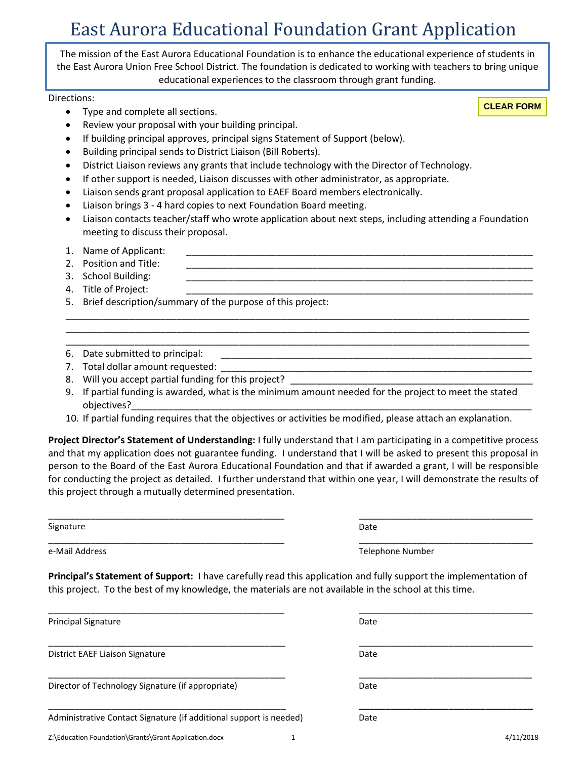The mission of the East Aurora Educational Foundation is to enhance the educational experience of students in the East Aurora Union Free School District. The foundation is dedicated to working with teachers to bring unique educational experiences to the classroom through grant funding.

Directions:

**CLEAR FORM**

- Type and complete all sections. Review your proposal with your building principal.
- If building principal approves, principal signs Statement of Support (below).
- Building principal sends to District Liaison (Bill Roberts).
- District Liaison reviews any grants that include technology with the Director of Technology.
- If other support is needed, Liaison discusses with other administrator, as appropriate.
- Liaison sends grant proposal application to EAEF Board members electronically.
- Liaison brings 3 4 hard copies to next Foundation Board meeting.
- Liaison contacts teacher/staff who wrote application about next steps, including attending a Foundation meeting to discuss their proposal.

\_\_\_\_\_\_\_\_\_\_\_\_\_\_\_\_\_\_\_\_\_\_\_\_\_\_\_\_\_\_\_\_\_\_\_\_\_\_\_\_\_\_\_\_\_\_\_\_\_\_\_\_\_\_\_\_\_\_\_\_\_\_\_\_\_\_\_\_\_\_\_\_\_\_\_\_\_\_\_\_\_\_\_\_\_\_\_\_ \_\_\_\_\_\_\_\_\_\_\_\_\_\_\_\_\_\_\_\_\_\_\_\_\_\_\_\_\_\_\_\_\_\_\_\_\_\_\_\_\_\_\_\_\_\_\_\_\_\_\_\_\_\_\_\_\_\_\_\_\_\_\_\_\_\_\_\_\_\_\_\_\_\_\_\_\_\_\_\_\_\_\_\_\_\_\_\_ \_\_\_\_\_\_\_\_\_\_\_\_\_\_\_\_\_\_\_\_\_\_\_\_\_\_\_\_\_\_\_\_\_\_\_\_\_\_\_\_\_\_\_\_\_\_\_\_\_\_\_\_\_\_\_\_\_\_\_\_\_\_\_\_\_\_\_\_\_\_\_\_\_\_\_\_\_\_\_\_\_\_\_\_\_\_\_\_

- 1. Name of Applicant:
- 2. Position and Title:
- 3. School Building:
- 4. Title of Project:
- 5. Brief description/summary of the purpose of this project:
- 6. Date submitted to principal:
- 7. Total dollar amount requested:
- 8. Will you accept partial funding for this project?

\_\_\_\_\_\_\_\_\_\_\_\_\_\_\_\_\_\_\_\_\_\_\_\_\_\_\_\_\_\_\_\_\_\_\_\_\_\_\_\_\_\_\_\_\_

\_\_\_\_\_\_\_\_\_\_\_\_\_\_\_\_\_\_\_\_\_\_\_\_\_\_\_\_\_\_\_\_\_\_\_\_\_\_\_\_\_\_\_\_\_

\_\_\_\_\_\_\_\_\_\_\_\_\_\_\_\_\_\_\_\_\_\_\_\_\_\_\_\_\_\_\_\_\_\_\_\_\_\_\_\_\_\_\_\_\_

- 9. If partial funding is awarded, what is the minimum amount needed for the project to meet the stated objectives?\_\_\_\_\_\_\_\_\_\_\_\_\_\_\_\_\_\_\_\_\_\_\_\_\_\_\_\_\_\_\_\_\_\_\_\_\_\_\_\_\_\_\_\_\_\_\_\_\_\_\_\_\_\_\_\_\_\_\_\_\_\_\_\_\_\_\_\_\_\_\_\_\_\_\_\_
- 10. If partial funding requires that the objectives or activities be modified, please attach an explanation.

**Project Director's Statement of Understanding:** I fully understand that I am participating in a competitive process and that my application does not guarantee funding. I understand that I will be asked to present this proposal in person to the Board of the East Aurora Educational Foundation and that if awarded a grant, I will be responsible for conducting the project as detailed. I further understand that within one year, I will demonstrate the results of this project through a mutually determined presentation.

Signature

\_\_\_\_\_\_\_\_\_\_\_\_\_\_\_\_\_\_\_\_\_\_\_\_\_\_\_\_\_\_\_\_\_\_\_\_\_\_\_\_\_\_\_\_\_ e-Mail Address

Date

Date

Date

Date

Telephone Number

\_\_\_\_\_\_\_\_\_\_\_\_\_\_\_\_\_\_\_\_\_\_\_\_\_\_\_\_\_\_\_\_\_

\_\_\_\_\_\_\_\_\_\_\_\_\_\_\_\_\_\_\_\_\_\_\_\_\_\_\_\_\_\_\_\_\_

\_\_\_\_\_\_\_\_\_\_\_\_\_\_\_\_\_\_\_\_\_\_\_\_\_\_\_\_\_\_\_\_\_

\_\_\_\_\_\_\_\_\_\_\_\_\_\_\_\_\_\_\_\_\_\_\_\_\_\_\_\_\_\_\_\_\_

\_\_\_\_\_\_\_\_\_\_\_\_\_\_\_\_\_\_\_\_\_\_\_\_\_\_\_\_\_\_\_\_\_

**\_\_\_\_\_\_\_\_\_\_\_\_\_\_\_\_\_\_\_\_\_\_\_\_\_\_\_\_\_\_\_\_\_**

**Principal's Statement of Support:** I have carefully read this application and fully support the implementation of this project. To the best of my knowledge, the materials are not available in the school at this time.

Principal Signature

District EAEF Liaison Signature

\_\_\_\_\_\_\_\_\_\_\_\_\_\_\_\_\_\_\_\_\_\_\_\_\_\_\_\_\_\_\_\_\_\_\_\_\_\_\_\_\_\_\_\_\_ Director of Technology Signature (if appropriate)

Administrative Contact Signature (if additional support is needed)

\_\_\_\_\_\_\_\_\_\_\_\_\_\_\_\_\_\_\_\_\_\_\_\_\_\_\_\_\_\_\_\_\_\_\_\_\_\_\_\_\_\_\_\_\_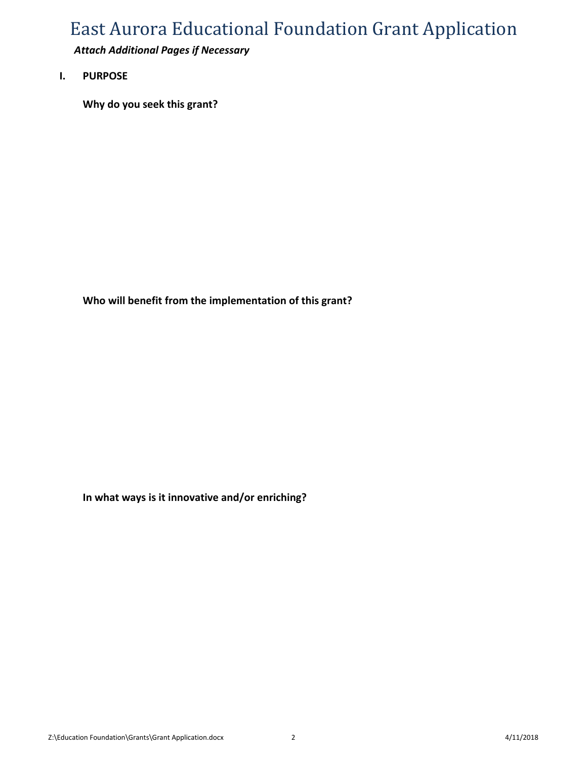*Attach Additional Pages if Necessary*

**I. PURPOSE**

**Why do you seek this grant?**

**Who will benefit from the implementation of this grant?**

**In what ways is it innovative and/or enriching?**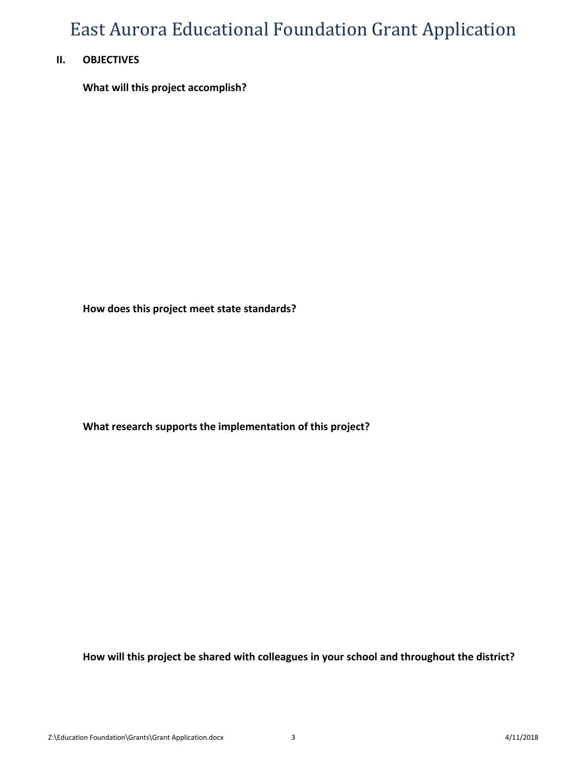### **II. OBJECTIVES**

**What will this project accomplish?**

**How does this project meet state standards?**

**What research supports the implementation of this project?**

**How will this project be shared with colleagues in your school and throughout the district?**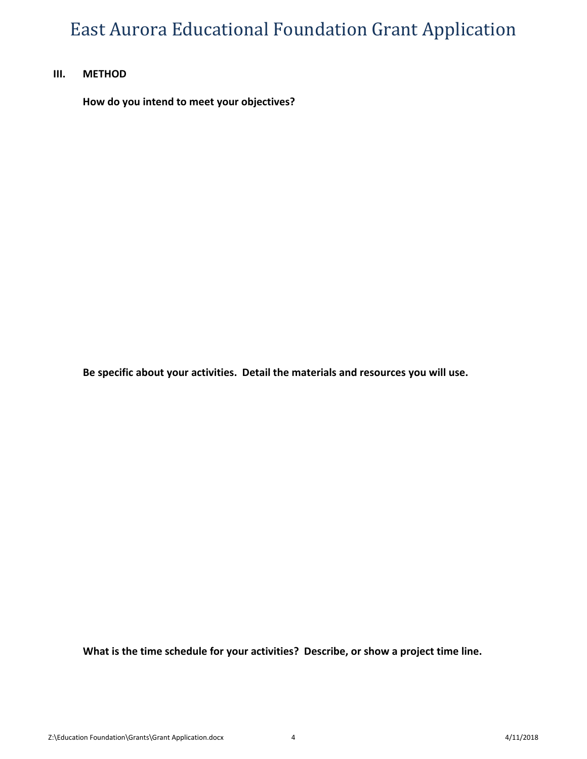#### **III. METHOD**

**How do you intend to meet your objectives?**

**Be specific about your activities. Detail the materials and resources you will use.**

**What is the time schedule for your activities? Describe, or show a project time line.**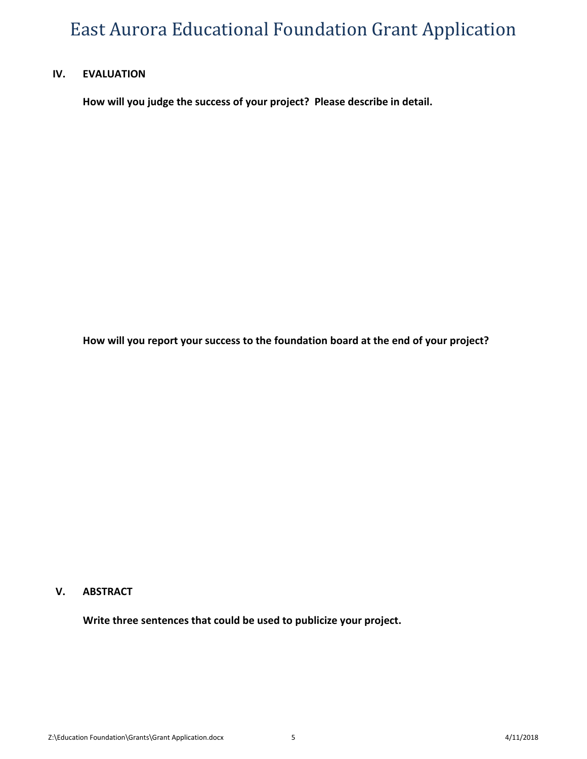#### **IV. EVALUATION**

**How will you judge the success of your project? Please describe in detail.**

**How will you report your success to the foundation board at the end of your project?**

#### **V. ABSTRACT**

**Write three sentences that could be used to publicize your project.**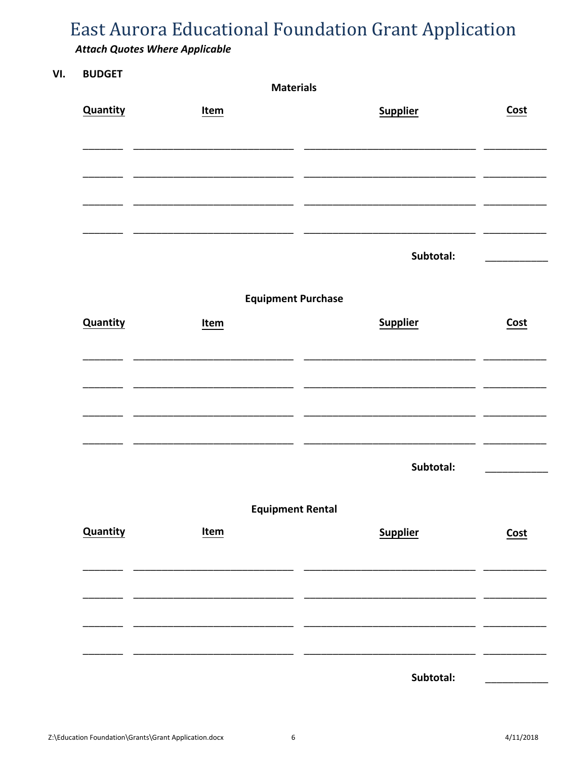### **Attach Quotes Where Applicable**

#### VI. **BUDGET**

| <b>Materials</b>        |                           |                 |             |  |  |
|-------------------------|---------------------------|-----------------|-------------|--|--|
| <b>Quantity</b>         | Item                      | <b>Supplier</b> | Cost        |  |  |
|                         |                           |                 |             |  |  |
|                         |                           |                 |             |  |  |
|                         |                           |                 |             |  |  |
|                         |                           | Subtotal:       |             |  |  |
|                         | <b>Equipment Purchase</b> |                 |             |  |  |
| <b>Quantity</b>         | Item                      | <b>Supplier</b> | Cost        |  |  |
|                         |                           |                 |             |  |  |
|                         | $\overline{\phantom{0}}$  |                 |             |  |  |
|                         |                           |                 |             |  |  |
|                         |                           | Subtotal:       |             |  |  |
| <b>Equipment Rental</b> |                           |                 |             |  |  |
| <b>Quantity</b>         | <u>Item</u>               | <b>Supplier</b> | <b>Cost</b> |  |  |
|                         |                           |                 |             |  |  |
|                         |                           |                 |             |  |  |
|                         |                           |                 |             |  |  |
|                         |                           | Subtotal:       |             |  |  |

 $\boldsymbol{6}$